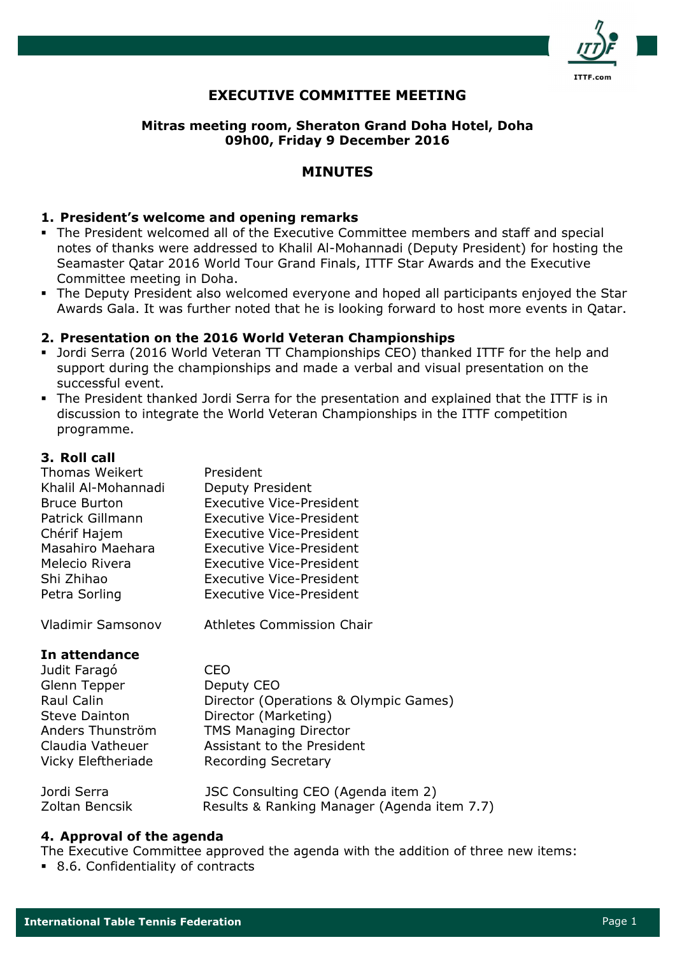

## EXECUTIVE COMMITTEE MEETING

## Mitras meeting room, Sheraton Grand Doha Hotel, Doha 09h00, Friday 9 December 2016

## MINUTES

### 1. President's welcome and opening remarks

- The President welcomed all of the Executive Committee members and staff and special notes of thanks were addressed to Khalil Al-Mohannadi (Deputy President) for hosting the Seamaster Qatar 2016 World Tour Grand Finals, ITTF Star Awards and the Executive Committee meeting in Doha.
- The Deputy President also welcomed everyone and hoped all participants enjoyed the Star Awards Gala. It was further noted that he is looking forward to host more events in Qatar.

### 2. Presentation on the 2016 World Veteran Championships

- Jordi Serra (2016 World Veteran TT Championships CEO) thanked ITTF for the help and support during the championships and made a verbal and visual presentation on the successful event.
- The President thanked Jordi Serra for the presentation and explained that the ITTF is in discussion to integrate the World Veteran Championships in the ITTF competition programme.

### 3. Roll call

| <b>Thomas Weikert</b> | President                       |
|-----------------------|---------------------------------|
| Khalil Al-Mohannadi   | Deputy President                |
| <b>Bruce Burton</b>   | <b>Executive Vice-President</b> |
| Patrick Gillmann      | <b>Executive Vice-President</b> |
| Chérif Hajem          | <b>Executive Vice-President</b> |
| Masahiro Maehara      | <b>Executive Vice-President</b> |
| Melecio Rivera        | <b>Executive Vice-President</b> |
| Shi Zhihao            | <b>Executive Vice-President</b> |
| Petra Sorling         | <b>Executive Vice-President</b> |

Vladimir Samsonov Athletes Commission Chair

### In attendance

| Judit Faragó              | CEO                                         |
|---------------------------|---------------------------------------------|
| Glenn Tepper              | Deputy CEO                                  |
| Raul Calin                | Director (Operations & Olympic Games)       |
| <b>Steve Dainton</b>      | Director (Marketing)                        |
| Anders Thunström          | <b>TMS Managing Director</b>                |
| Claudia Vatheuer          | Assistant to the President                  |
| <b>Vicky Eleftheriade</b> | <b>Recording Secretary</b>                  |
| Jordi Serra               | JSC Consulting CEO (Agenda item 2)          |
| Zoltan Bencsik            | Results & Ranking Manager (Agenda item 7.7) |

### 4. Approval of the agenda

The Executive Committee approved the agenda with the addition of three new items:

8.6. Confidentiality of contracts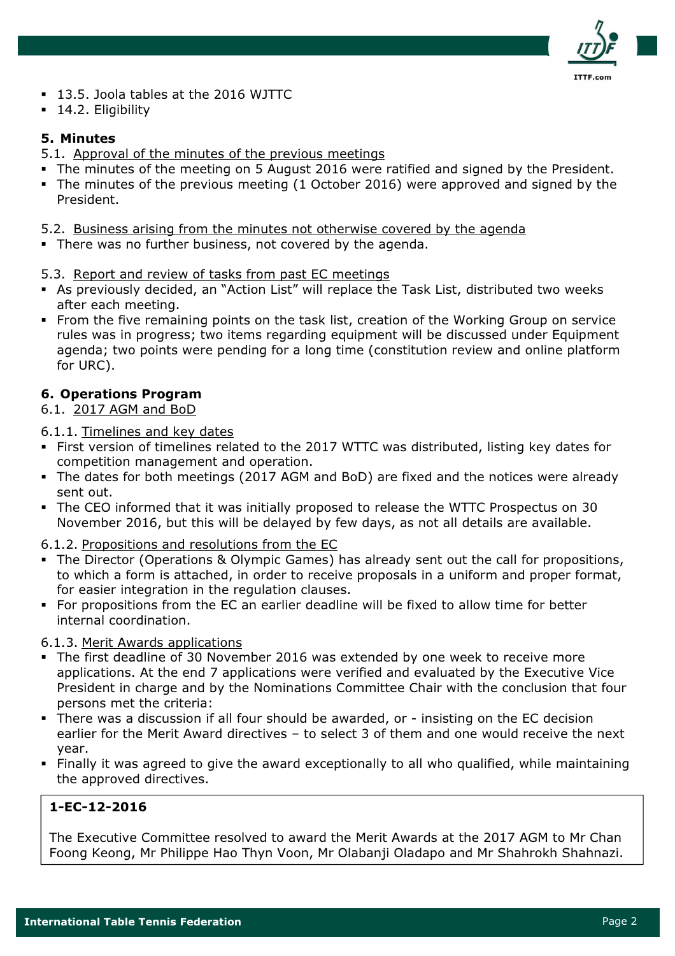

- 13.5. Joola tables at the 2016 WJTTC
- **14.2. Eligibility**

### 5. Minutes

- 5.1. Approval of the minutes of the previous meetings
- The minutes of the meeting on 5 August 2016 were ratified and signed by the President.
- The minutes of the previous meeting (1 October 2016) were approved and signed by the President.
- 5.2. Business arising from the minutes not otherwise covered by the agenda
- There was no further business, not covered by the agenda.
- 5.3. Report and review of tasks from past EC meetings
- As previously decided, an "Action List" will replace the Task List, distributed two weeks after each meeting.
- From the five remaining points on the task list, creation of the Working Group on service rules was in progress; two items regarding equipment will be discussed under Equipment agenda; two points were pending for a long time (constitution review and online platform for URC).

## 6. Operations Program

### 6.1. 2017 AGM and BoD

6.1.1. Timelines and key dates

- First version of timelines related to the 2017 WTTC was distributed, listing key dates for competition management and operation.
- The dates for both meetings (2017 AGM and BoD) are fixed and the notices were already sent out.
- The CEO informed that it was initially proposed to release the WTTC Prospectus on 30 November 2016, but this will be delayed by few days, as not all details are available.
- 6.1.2. Propositions and resolutions from the EC
- The Director (Operations & Olympic Games) has already sent out the call for propositions, to which a form is attached, in order to receive proposals in a uniform and proper format, for easier integration in the regulation clauses.
- For propositions from the EC an earlier deadline will be fixed to allow time for better internal coordination.
- 6.1.3. Merit Awards applications
- The first deadline of 30 November 2016 was extended by one week to receive more applications. At the end 7 applications were verified and evaluated by the Executive Vice President in charge and by the Nominations Committee Chair with the conclusion that four persons met the criteria:
- There was a discussion if all four should be awarded, or insisting on the EC decision earlier for the Merit Award directives – to select 3 of them and one would receive the next year.
- Finally it was agreed to give the award exceptionally to all who qualified, while maintaining the approved directives.

## 1-EC-12-2016

The Executive Committee resolved to award the Merit Awards at the 2017 AGM to Mr Chan Foong Keong, Mr Philippe Hao Thyn Voon, Mr Olabanji Oladapo and Mr Shahrokh Shahnazi.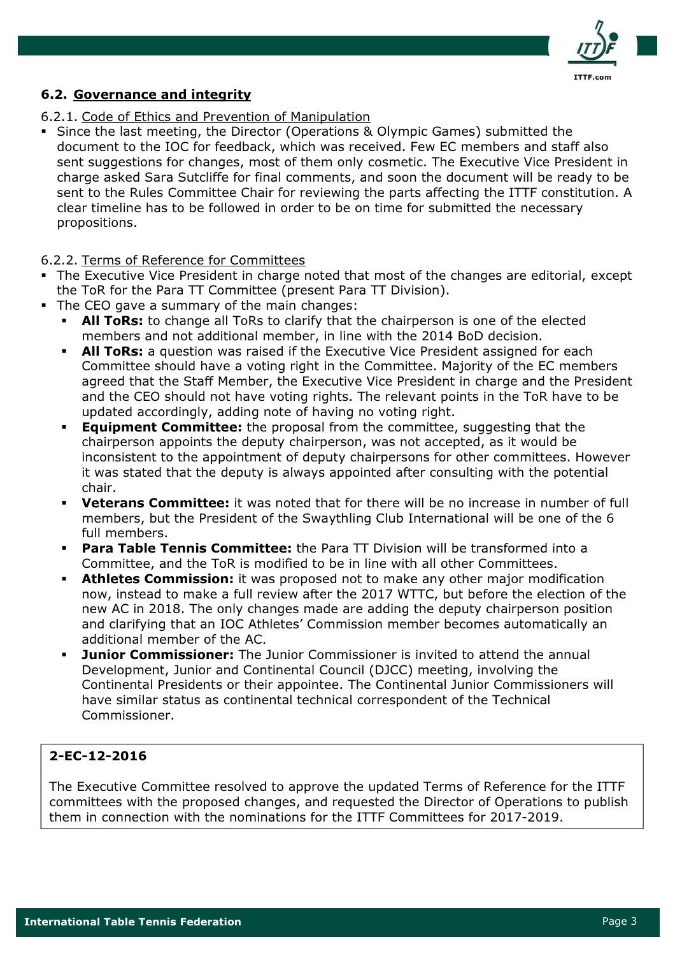

## 6.2. Governance and integrity

### 6.2.1. Code of Ethics and Prevention of Manipulation

 Since the last meeting, the Director (Operations & Olympic Games) submitted the document to the IOC for feedback, which was received. Few EC members and staff also sent suggestions for changes, most of them only cosmetic. The Executive Vice President in charge asked Sara Sutcliffe for final comments, and soon the document will be ready to be sent to the Rules Committee Chair for reviewing the parts affecting the ITTF constitution. A clear timeline has to be followed in order to be on time for submitted the necessary propositions.

### 6.2.2. Terms of Reference for Committees

- The Executive Vice President in charge noted that most of the changes are editorial, except the ToR for the Para TT Committee (present Para TT Division).
- The CEO gave a summary of the main changes:
	- All ToRs: to change all ToRs to clarify that the chairperson is one of the elected members and not additional member, in line with the 2014 BoD decision.
	- **All ToRs:** a question was raised if the Executive Vice President assigned for each Committee should have a voting right in the Committee. Majority of the EC members agreed that the Staff Member, the Executive Vice President in charge and the President and the CEO should not have voting rights. The relevant points in the ToR have to be updated accordingly, adding note of having no voting right.
	- Equipment Committee: the proposal from the committee, suggesting that the chairperson appoints the deputy chairperson, was not accepted, as it would be inconsistent to the appointment of deputy chairpersons for other committees. However it was stated that the deputy is always appointed after consulting with the potential chair.
	- **Veterans Committee:** it was noted that for there will be no increase in number of full members, but the President of the Swaythling Club International will be one of the 6 full members.
	- Para Table Tennis Committee: the Para TT Division will be transformed into a Committee, and the ToR is modified to be in line with all other Committees.
	- Athletes Commission: it was proposed not to make any other major modification now, instead to make a full review after the 2017 WTTC, but before the election of the new AC in 2018. The only changes made are adding the deputy chairperson position and clarifying that an IOC Athletes' Commission member becomes automatically an additional member of the AC.
	- **Junior Commissioner:** The Junior Commissioner is invited to attend the annual Development, Junior and Continental Council (DJCC) meeting, involving the Continental Presidents or their appointee. The Continental Junior Commissioners will have similar status as continental technical correspondent of the Technical Commissioner.

## 2-EC-12-2016

The Executive Committee resolved to approve the updated Terms of Reference for the ITTF committees with the proposed changes, and requested the Director of Operations to publish them in connection with the nominations for the ITTF Committees for 2017-2019.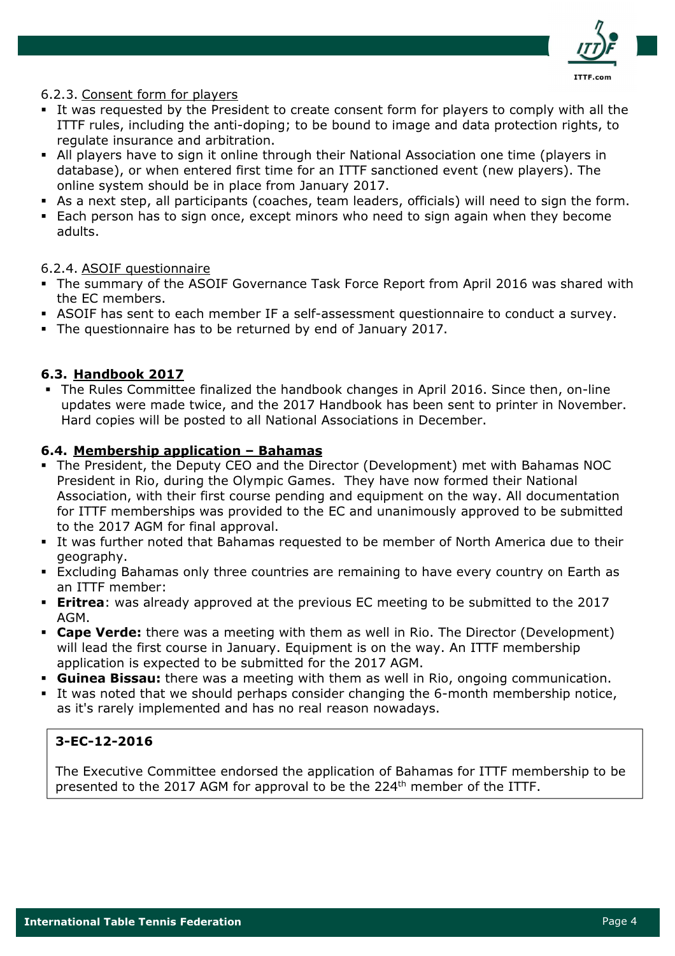

## 6.2.3. Consent form for players

- It was requested by the President to create consent form for players to comply with all the ITTF rules, including the anti-doping; to be bound to image and data protection rights, to regulate insurance and arbitration.
- All players have to sign it online through their National Association one time (players in database), or when entered first time for an ITTF sanctioned event (new players). The online system should be in place from January 2017.
- As a next step, all participants (coaches, team leaders, officials) will need to sign the form.
- Each person has to sign once, except minors who need to sign again when they become adults.

## 6.2.4. ASOIF questionnaire

- The summary of the ASOIF Governance Task Force Report from April 2016 was shared with the EC members.
- ASOIF has sent to each member IF a self-assessment questionnaire to conduct a survey.
- The questionnaire has to be returned by end of January 2017.

## 6.3. Handbook 2017

 The Rules Committee finalized the handbook changes in April 2016. Since then, on-line updates were made twice, and the 2017 Handbook has been sent to printer in November. Hard copies will be posted to all National Associations in December.

### 6.4. Membership application – Bahamas

- The President, the Deputy CEO and the Director (Development) met with Bahamas NOC President in Rio, during the Olympic Games. They have now formed their National Association, with their first course pending and equipment on the way. All documentation for ITTF memberships was provided to the EC and unanimously approved to be submitted to the 2017 AGM for final approval.
- It was further noted that Bahamas requested to be member of North America due to their geography.
- Excluding Bahamas only three countries are remaining to have every country on Earth as an ITTF member:
- **Eritrea:** was already approved at the previous EC meeting to be submitted to the 2017 AGM.
- **Cape Verde:** there was a meeting with them as well in Rio. The Director (Development) will lead the first course in January. Equipment is on the way. An ITTF membership application is expected to be submitted for the 2017 AGM.
- Guinea Bissau: there was a meeting with them as well in Rio, ongoing communication.
- It was noted that we should perhaps consider changing the 6-month membership notice, as it's rarely implemented and has no real reason nowadays.

## 3-EC-12-2016

The Executive Committee endorsed the application of Bahamas for ITTF membership to be presented to the 2017 AGM for approval to be the 224<sup>th</sup> member of the ITTF.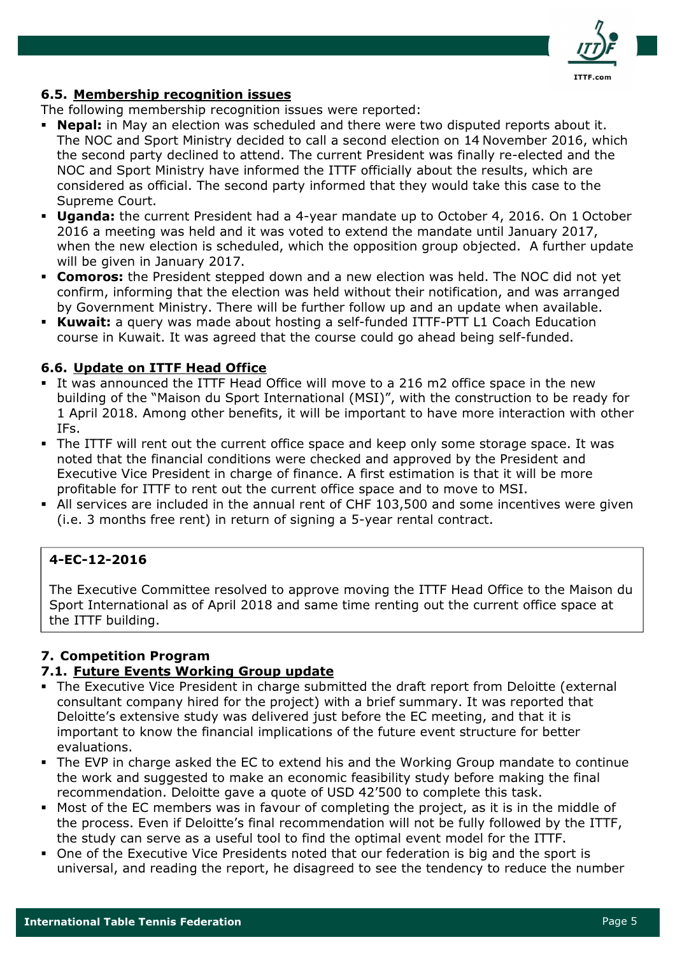

### 6.5. Membership recognition issues

The following membership recognition issues were reported:

- Nepal: in May an election was scheduled and there were two disputed reports about it. The NOC and Sport Ministry decided to call a second election on 14 November 2016, which the second party declined to attend. The current President was finally re-elected and the NOC and Sport Ministry have informed the ITTF officially about the results, which are considered as official. The second party informed that they would take this case to the Supreme Court.
- **Uganda:** the current President had a 4-year mandate up to October 4, 2016. On 1 October 2016 a meeting was held and it was voted to extend the mandate until January 2017, when the new election is scheduled, which the opposition group objected. A further update will be given in January 2017.
- **Comoros:** the President stepped down and a new election was held. The NOC did not yet confirm, informing that the election was held without their notification, and was arranged by Government Ministry. There will be further follow up and an update when available.
- **Kuwait:** a query was made about hosting a self-funded ITTF-PTT L1 Coach Education course in Kuwait. It was agreed that the course could go ahead being self-funded.

## 6.6. Update on ITTF Head Office

- It was announced the ITTF Head Office will move to a 216 m2 office space in the new building of the "Maison du Sport International (MSI)", with the construction to be ready for 1 April 2018. Among other benefits, it will be important to have more interaction with other IFs.
- The ITTF will rent out the current office space and keep only some storage space. It was noted that the financial conditions were checked and approved by the President and Executive Vice President in charge of finance. A first estimation is that it will be more profitable for ITTF to rent out the current office space and to move to MSI.
- All services are included in the annual rent of CHF 103,500 and some incentives were given (i.e. 3 months free rent) in return of signing a 5-year rental contract.

## 4-EC-12-2016

The Executive Committee resolved to approve moving the ITTF Head Office to the Maison du Sport International as of April 2018 and same time renting out the current office space at the ITTF building.

## 7. Competition Program

### 7.1. Future Events Working Group update

- The Executive Vice President in charge submitted the draft report from Deloitte (external consultant company hired for the project) with a brief summary. It was reported that Deloitte's extensive study was delivered just before the EC meeting, and that it is important to know the financial implications of the future event structure for better evaluations.
- The EVP in charge asked the EC to extend his and the Working Group mandate to continue the work and suggested to make an economic feasibility study before making the final recommendation. Deloitte gave a quote of USD 42'500 to complete this task.
- Most of the EC members was in favour of completing the project, as it is in the middle of the process. Even if Deloitte's final recommendation will not be fully followed by the ITTF, the study can serve as a useful tool to find the optimal event model for the ITTF.
- One of the Executive Vice Presidents noted that our federation is big and the sport is universal, and reading the report, he disagreed to see the tendency to reduce the number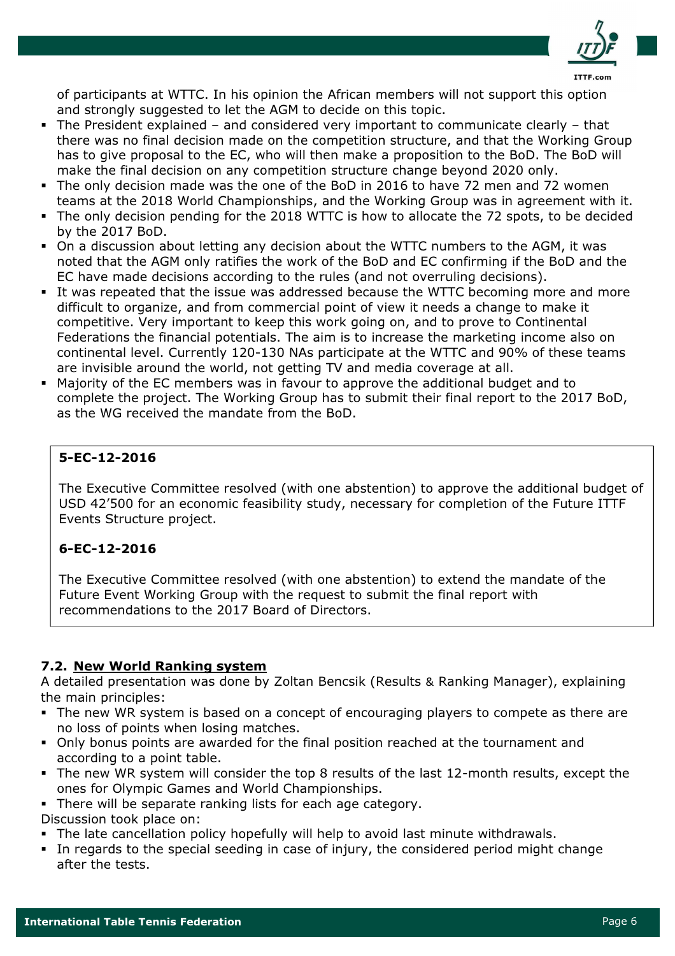

of participants at WTTC. In his opinion the African members will not support this option and strongly suggested to let the AGM to decide on this topic.

- The President explained and considered very important to communicate clearly that there was no final decision made on the competition structure, and that the Working Group has to give proposal to the EC, who will then make a proposition to the BoD. The BoD will make the final decision on any competition structure change beyond 2020 only.
- The only decision made was the one of the BoD in 2016 to have 72 men and 72 women teams at the 2018 World Championships, and the Working Group was in agreement with it.
- The only decision pending for the 2018 WTTC is how to allocate the 72 spots, to be decided by the 2017 BoD.
- On a discussion about letting any decision about the WTTC numbers to the AGM, it was noted that the AGM only ratifies the work of the BoD and EC confirming if the BoD and the EC have made decisions according to the rules (and not overruling decisions).
- It was repeated that the issue was addressed because the WTTC becoming more and more difficult to organize, and from commercial point of view it needs a change to make it competitive. Very important to keep this work going on, and to prove to Continental Federations the financial potentials. The aim is to increase the marketing income also on continental level. Currently 120-130 NAs participate at the WTTC and 90% of these teams are invisible around the world, not getting TV and media coverage at all.
- Majority of the EC members was in favour to approve the additional budget and to complete the project. The Working Group has to submit their final report to the 2017 BoD, as the WG received the mandate from the BoD.

## 5-EC-12-2016

The Executive Committee resolved (with one abstention) to approve the additional budget of USD 42'500 for an economic feasibility study, necessary for completion of the Future ITTF Events Structure project.

## 6-EC-12-2016

The Executive Committee resolved (with one abstention) to extend the mandate of the Future Event Working Group with the request to submit the final report with recommendations to the 2017 Board of Directors.

## 7.2. New World Ranking system

A detailed presentation was done by Zoltan Bencsik (Results & Ranking Manager), explaining the main principles:

- The new WR system is based on a concept of encouraging players to compete as there are no loss of points when losing matches.
- Only bonus points are awarded for the final position reached at the tournament and according to a point table.
- The new WR system will consider the top 8 results of the last 12-month results, except the ones for Olympic Games and World Championships.
- There will be separate ranking lists for each age category.
- Discussion took place on:
- The late cancellation policy hopefully will help to avoid last minute withdrawals.
- In regards to the special seeding in case of injury, the considered period might change after the tests.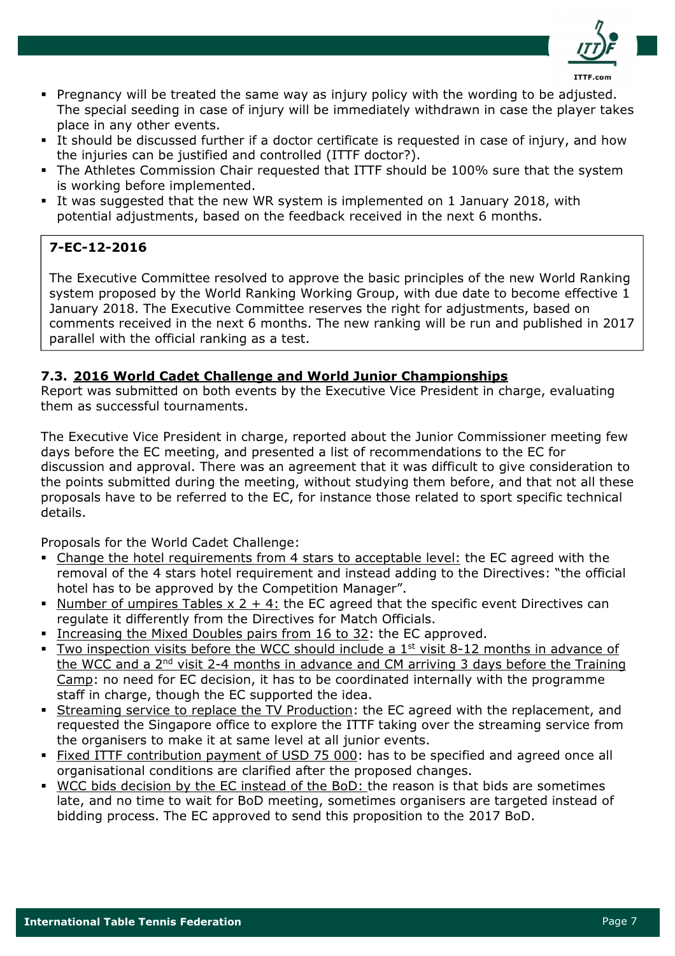

- Pregnancy will be treated the same way as injury policy with the wording to be adjusted. The special seeding in case of injury will be immediately withdrawn in case the player takes place in any other events.
- It should be discussed further if a doctor certificate is requested in case of injury, and how the injuries can be justified and controlled (ITTF doctor?).
- The Athletes Commission Chair requested that ITTF should be 100% sure that the system is working before implemented.
- It was suggested that the new WR system is implemented on 1 January 2018, with potential adjustments, based on the feedback received in the next 6 months.

# 7-EC-12-2016

The Executive Committee resolved to approve the basic principles of the new World Ranking system proposed by the World Ranking Working Group, with due date to become effective 1 January 2018. The Executive Committee reserves the right for adjustments, based on comments received in the next 6 months. The new ranking will be run and published in 2017 parallel with the official ranking as a test.

## 7.3. 2016 World Cadet Challenge and World Junior Championships

Report was submitted on both events by the Executive Vice President in charge, evaluating them as successful tournaments.

The Executive Vice President in charge, reported about the Junior Commissioner meeting few days before the EC meeting, and presented a list of recommendations to the EC for discussion and approval. There was an agreement that it was difficult to give consideration to the points submitted during the meeting, without studying them before, and that not all these proposals have to be referred to the EC, for instance those related to sport specific technical details.

Proposals for the World Cadet Challenge:

- Change the hotel requirements from 4 stars to acceptable level: the EC agreed with the removal of the 4 stars hotel requirement and instead adding to the Directives: "the official hotel has to be approved by the Competition Manager".
- Number of umpires Tables  $x + 2 + 4$ : the EC agreed that the specific event Directives can regulate it differently from the Directives for Match Officials.
- Increasing the Mixed Doubles pairs from 16 to 32: the EC approved.
- Two inspection visits before the WCC should include a  $1<sup>st</sup>$  visit 8-12 months in advance of the WCC and a  $2<sup>nd</sup>$  visit 2-4 months in advance and CM arriving 3 days before the Training Camp: no need for EC decision, it has to be coordinated internally with the programme staff in charge, though the EC supported the idea.
- Streaming service to replace the TV Production: the EC agreed with the replacement, and requested the Singapore office to explore the ITTF taking over the streaming service from the organisers to make it at same level at all junior events.
- Fixed ITTF contribution payment of USD 75 000: has to be specified and agreed once all organisational conditions are clarified after the proposed changes.
- WCC bids decision by the EC instead of the BoD: the reason is that bids are sometimes late, and no time to wait for BoD meeting, sometimes organisers are targeted instead of bidding process. The EC approved to send this proposition to the 2017 BoD.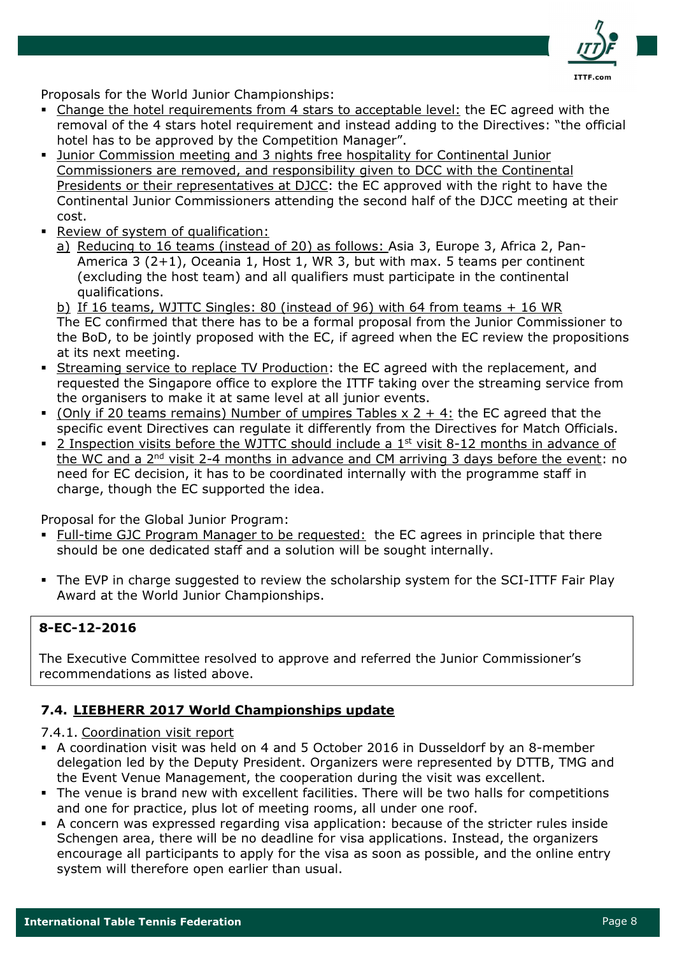

Proposals for the World Junior Championships:

- Change the hotel requirements from 4 stars to acceptable level: the EC agreed with the removal of the 4 stars hotel requirement and instead adding to the Directives: "the official hotel has to be approved by the Competition Manager".
- Junior Commission meeting and 3 nights free hospitality for Continental Junior Commissioners are removed, and responsibility given to DCC with the Continental Presidents or their representatives at DJCC: the EC approved with the right to have the Continental Junior Commissioners attending the second half of the DJCC meeting at their cost.
- Review of system of qualification:
	- a) Reducing to 16 teams (instead of 20) as follows: Asia 3, Europe 3, Africa 2, Pan-America 3 (2+1), Oceania 1, Host 1, WR 3, but with max. 5 teams per continent (excluding the host team) and all qualifiers must participate in the continental qualifications.

b) If 16 teams, WJTTC Singles: 80 (instead of 96) with 64 from teams + 16 WR The EC confirmed that there has to be a formal proposal from the Junior Commissioner to the BoD, to be jointly proposed with the EC, if agreed when the EC review the propositions at its next meeting.

- Streaming service to replace TV Production: the EC agreed with the replacement, and requested the Singapore office to explore the ITTF taking over the streaming service from the organisers to make it at same level at all junior events.
- $\bullet$  (Only if 20 teams remains) Number of umpires Tables x 2 + 4: the EC agreed that the specific event Directives can regulate it differently from the Directives for Match Officials.
- **2** Inspection visits before the WJTTC should include a  $1<sup>st</sup>$  visit 8-12 months in advance of the WC and a 2nd visit 2-4 months in advance and CM arriving 3 days before the event: no need for EC decision, it has to be coordinated internally with the programme staff in charge, though the EC supported the idea.

Proposal for the Global Junior Program:

- Full-time GJC Program Manager to be requested: the EC agrees in principle that there should be one dedicated staff and a solution will be sought internally.
- The EVP in charge suggested to review the scholarship system for the SCI-ITTF Fair Play Award at the World Junior Championships.

## 8-EC-12-2016

The Executive Committee resolved to approve and referred the Junior Commissioner's recommendations as listed above.

## 7.4. LIEBHERR 2017 World Championships update

7.4.1. Coordination visit report

- A coordination visit was held on 4 and 5 October 2016 in Dusseldorf by an 8-member delegation led by the Deputy President. Organizers were represented by DTTB, TMG and the Event Venue Management, the cooperation during the visit was excellent.
- The venue is brand new with excellent facilities. There will be two halls for competitions and one for practice, plus lot of meeting rooms, all under one roof.
- A concern was expressed regarding visa application: because of the stricter rules inside Schengen area, there will be no deadline for visa applications. Instead, the organizers encourage all participants to apply for the visa as soon as possible, and the online entry system will therefore open earlier than usual.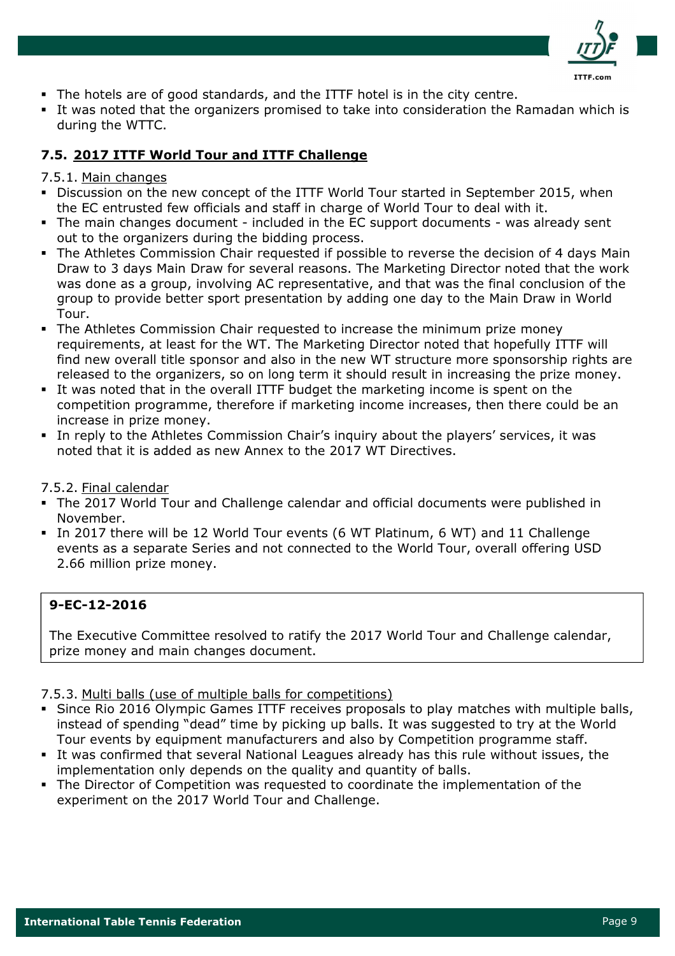

- The hotels are of good standards, and the ITTF hotel is in the city centre.
- It was noted that the organizers promised to take into consideration the Ramadan which is during the WTTC.

## 7.5. 2017 ITTF World Tour and ITTF Challenge

### 7.5.1. Main changes

- Discussion on the new concept of the ITTF World Tour started in September 2015, when the EC entrusted few officials and staff in charge of World Tour to deal with it.
- The main changes document included in the EC support documents was already sent out to the organizers during the bidding process.
- The Athletes Commission Chair requested if possible to reverse the decision of 4 days Main Draw to 3 days Main Draw for several reasons. The Marketing Director noted that the work was done as a group, involving AC representative, and that was the final conclusion of the group to provide better sport presentation by adding one day to the Main Draw in World Tour.
- The Athletes Commission Chair requested to increase the minimum prize money requirements, at least for the WT. The Marketing Director noted that hopefully ITTF will find new overall title sponsor and also in the new WT structure more sponsorship rights are released to the organizers, so on long term it should result in increasing the prize money.
- It was noted that in the overall ITTF budget the marketing income is spent on the competition programme, therefore if marketing income increases, then there could be an increase in prize money.
- In reply to the Athletes Commission Chair's inquiry about the players' services, it was noted that it is added as new Annex to the 2017 WT Directives.

## 7.5.2. Final calendar

- The 2017 World Tour and Challenge calendar and official documents were published in November.
- In 2017 there will be 12 World Tour events (6 WT Platinum, 6 WT) and 11 Challenge events as a separate Series and not connected to the World Tour, overall offering USD 2.66 million prize money.

## 9-EC-12-2016

The Executive Committee resolved to ratify the 2017 World Tour and Challenge calendar, prize money and main changes document.

### 7.5.3. Multi balls (use of multiple balls for competitions)

- Since Rio 2016 Olympic Games ITTF receives proposals to play matches with multiple balls, instead of spending "dead" time by picking up balls. It was suggested to try at the World Tour events by equipment manufacturers and also by Competition programme staff.
- It was confirmed that several National Leagues already has this rule without issues, the implementation only depends on the quality and quantity of balls.
- The Director of Competition was requested to coordinate the implementation of the experiment on the 2017 World Tour and Challenge.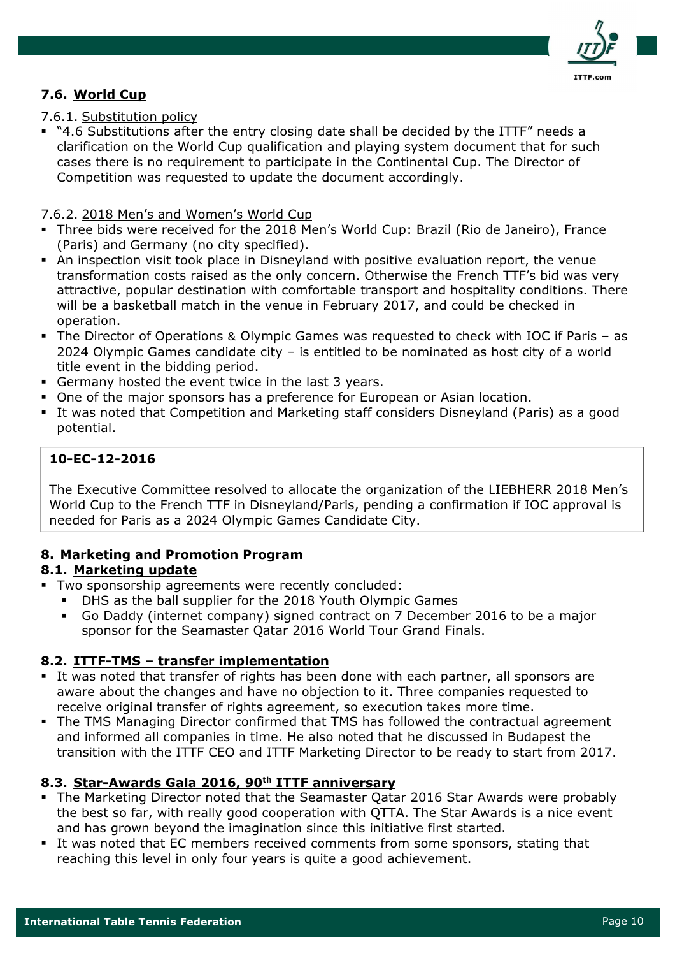

## 7.6. World Cup

## 7.6.1. Substitution policy

 "4.6 Substitutions after the entry closing date shall be decided by the ITTF" needs a clarification on the World Cup qualification and playing system document that for such cases there is no requirement to participate in the Continental Cup. The Director of Competition was requested to update the document accordingly.

### 7.6.2. 2018 Men's and Women's World Cup

- Three bids were received for the 2018 Men's World Cup: Brazil (Rio de Janeiro), France (Paris) and Germany (no city specified).
- An inspection visit took place in Disneyland with positive evaluation report, the venue transformation costs raised as the only concern. Otherwise the French TTF's bid was very attractive, popular destination with comfortable transport and hospitality conditions. There will be a basketball match in the venue in February 2017, and could be checked in operation.
- The Director of Operations & Olympic Games was requested to check with IOC if Paris as 2024 Olympic Games candidate city – is entitled to be nominated as host city of a world title event in the bidding period.
- Germany hosted the event twice in the last 3 years.
- One of the major sponsors has a preference for European or Asian location.
- It was noted that Competition and Marketing staff considers Disneyland (Paris) as a good potential.

## 10-EC-12-2016

The Executive Committee resolved to allocate the organization of the LIEBHERR 2018 Men's World Cup to the French TTF in Disneyland/Paris, pending a confirmation if IOC approval is needed for Paris as a 2024 Olympic Games Candidate City.

## 8. Marketing and Promotion Program

### 8.1. Marketing update

- Two sponsorship agreements were recently concluded:
	- DHS as the ball supplier for the 2018 Youth Olympic Games
	- Go Daddy (internet company) signed contract on 7 December 2016 to be a major sponsor for the Seamaster Qatar 2016 World Tour Grand Finals.

## 8.2. ITTF-TMS – transfer implementation

- It was noted that transfer of rights has been done with each partner, all sponsors are aware about the changes and have no objection to it. Three companies requested to receive original transfer of rights agreement, so execution takes more time.
- The TMS Managing Director confirmed that TMS has followed the contractual agreement and informed all companies in time. He also noted that he discussed in Budapest the transition with the ITTF CEO and ITTF Marketing Director to be ready to start from 2017.

## 8.3. Star-Awards Gala 2016, 90<sup>th</sup> ITTF anniversary

- The Marketing Director noted that the Seamaster Qatar 2016 Star Awards were probably the best so far, with really good cooperation with QTTA. The Star Awards is a nice event and has grown beyond the imagination since this initiative first started.
- It was noted that EC members received comments from some sponsors, stating that reaching this level in only four years is quite a good achievement.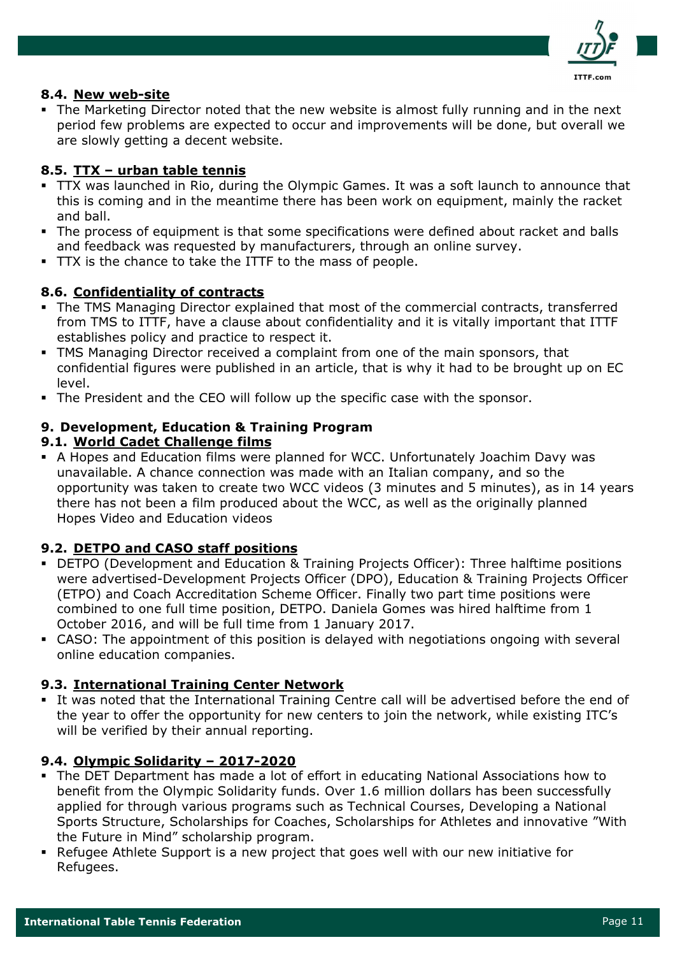

### 8.4. New web-site

 The Marketing Director noted that the new website is almost fully running and in the next period few problems are expected to occur and improvements will be done, but overall we are slowly getting a decent website.

## 8.5. TTX – urban table tennis

- TTX was launched in Rio, during the Olympic Games. It was a soft launch to announce that this is coming and in the meantime there has been work on equipment, mainly the racket and ball.
- The process of equipment is that some specifications were defined about racket and balls and feedback was requested by manufacturers, through an online survey.
- TTX is the chance to take the ITTF to the mass of people.

## 8.6. Confidentiality of contracts

- The TMS Managing Director explained that most of the commercial contracts, transferred from TMS to ITTF, have a clause about confidentiality and it is vitally important that ITTF establishes policy and practice to respect it.
- TMS Managing Director received a complaint from one of the main sponsors, that confidential figures were published in an article, that is why it had to be brought up on EC level.
- The President and the CEO will follow up the specific case with the sponsor.

### 9. Development, Education & Training Program

### 9.1. World Cadet Challenge films

 A Hopes and Education films were planned for WCC. Unfortunately Joachim Davy was unavailable. A chance connection was made with an Italian company, and so the opportunity was taken to create two WCC videos (3 minutes and 5 minutes), as in 14 years there has not been a film produced about the WCC, as well as the originally planned Hopes Video and Education videos

### 9.2. DETPO and CASO staff positions

- DETPO (Development and Education & Training Projects Officer): Three halftime positions were advertised-Development Projects Officer (DPO), Education & Training Projects Officer (ETPO) and Coach Accreditation Scheme Officer. Finally two part time positions were combined to one full time position, DETPO. Daniela Gomes was hired halftime from 1 October 2016, and will be full time from 1 January 2017.
- CASO: The appointment of this position is delayed with negotiations ongoing with several online education companies.

### 9.3. International Training Center Network

 It was noted that the International Training Centre call will be advertised before the end of the year to offer the opportunity for new centers to join the network, while existing ITC's will be verified by their annual reporting.

### 9.4. Olympic Solidarity – 2017-2020

- The DET Department has made a lot of effort in educating National Associations how to benefit from the Olympic Solidarity funds. Over 1.6 million dollars has been successfully applied for through various programs such as Technical Courses, Developing a National Sports Structure, Scholarships for Coaches, Scholarships for Athletes and innovative "With the Future in Mind" scholarship program.
- Refugee Athlete Support is a new project that goes well with our new initiative for Refugees.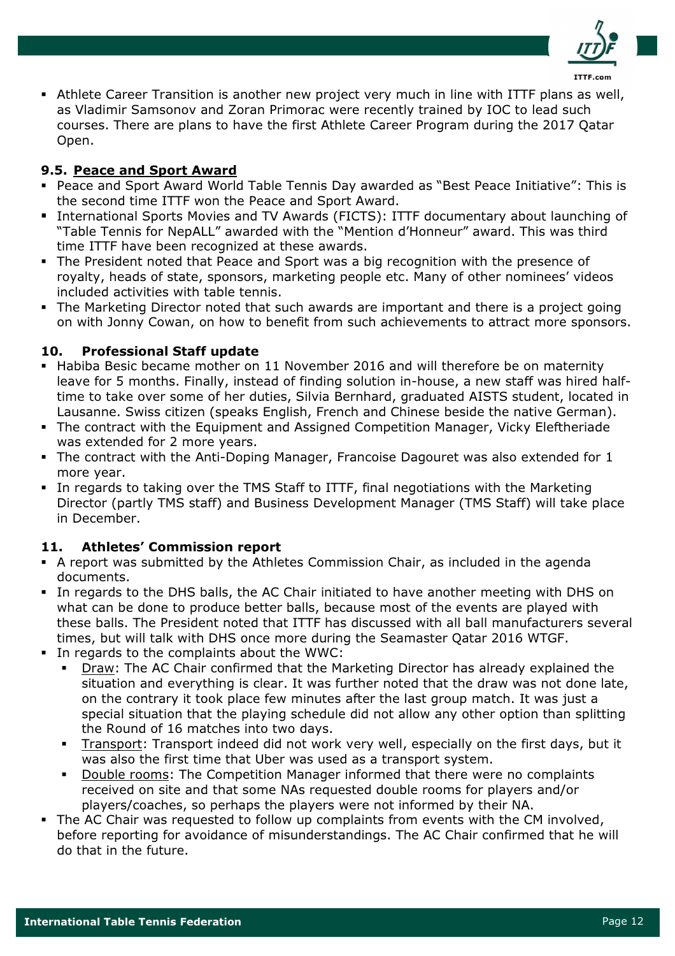

 Athlete Career Transition is another new project very much in line with ITTF plans as well, as Vladimir Samsonov and Zoran Primorac were recently trained by IOC to lead such courses. There are plans to have the first Athlete Career Program during the 2017 Qatar Open.

## 9.5. Peace and Sport Award

- Peace and Sport Award World Table Tennis Day awarded as "Best Peace Initiative": This is the second time ITTF won the Peace and Sport Award.
- International Sports Movies and TV Awards (FICTS): ITTF documentary about launching of "Table Tennis for NepALL" awarded with the "Mention d'Honneur" award. This was third time ITTF have been recognized at these awards.
- The President noted that Peace and Sport was a big recognition with the presence of royalty, heads of state, sponsors, marketing people etc. Many of other nominees' videos included activities with table tennis.
- The Marketing Director noted that such awards are important and there is a project going on with Jonny Cowan, on how to benefit from such achievements to attract more sponsors.

## 10. Professional Staff update

- Habiba Besic became mother on 11 November 2016 and will therefore be on maternity leave for 5 months. Finally, instead of finding solution in-house, a new staff was hired halftime to take over some of her duties, Silvia Bernhard, graduated AISTS student, located in Lausanne. Swiss citizen (speaks English, French and Chinese beside the native German).
- The contract with the Equipment and Assigned Competition Manager, Vicky Eleftheriade was extended for 2 more years.
- The contract with the Anti-Doping Manager, Francoise Dagouret was also extended for 1 more year.
- In regards to taking over the TMS Staff to ITTF, final negotiations with the Marketing Director (partly TMS staff) and Business Development Manager (TMS Staff) will take place in December.

## 11. Athletes' Commission report

- A report was submitted by the Athletes Commission Chair, as included in the agenda documents.
- In regards to the DHS balls, the AC Chair initiated to have another meeting with DHS on what can be done to produce better balls, because most of the events are played with these balls. The President noted that ITTF has discussed with all ball manufacturers several times, but will talk with DHS once more during the Seamaster Qatar 2016 WTGF.
- In regards to the complaints about the WWC:
	- Draw: The AC Chair confirmed that the Marketing Director has already explained the situation and everything is clear. It was further noted that the draw was not done late, on the contrary it took place few minutes after the last group match. It was just a special situation that the playing schedule did not allow any other option than splitting the Round of 16 matches into two days.
		- Transport: Transport indeed did not work very well, especially on the first days, but it was also the first time that Uber was used as a transport system.
		- Double rooms: The Competition Manager informed that there were no complaints received on site and that some NAs requested double rooms for players and/or players/coaches, so perhaps the players were not informed by their NA.
- The AC Chair was requested to follow up complaints from events with the CM involved, before reporting for avoidance of misunderstandings. The AC Chair confirmed that he will do that in the future.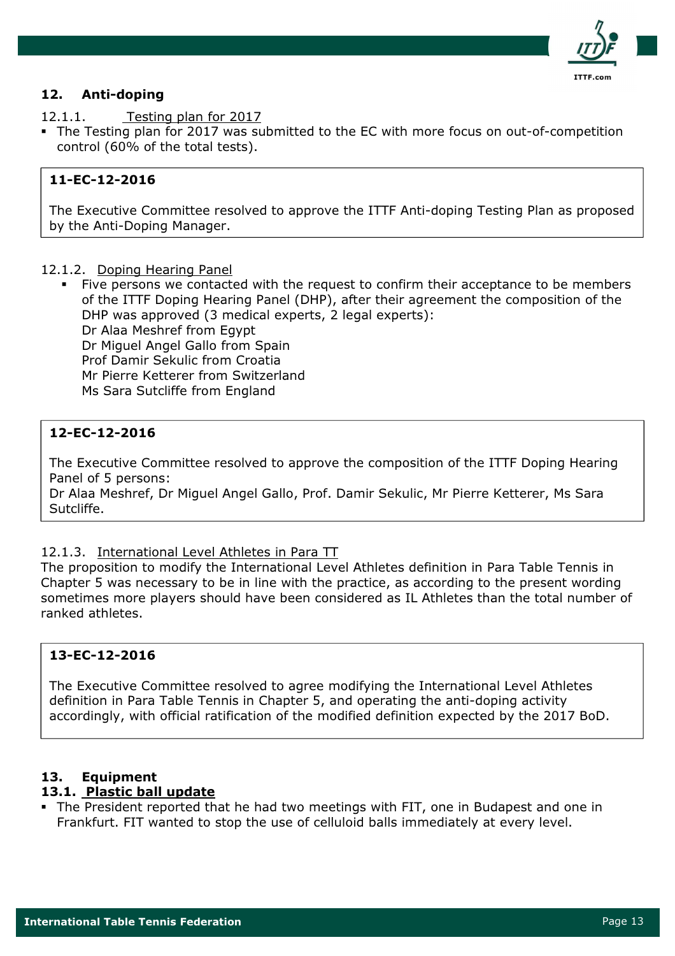

## 12. Anti-doping

12.1.1. Testing plan for 2017

 The Testing plan for 2017 was submitted to the EC with more focus on out-of-competition control (60% of the total tests).

## 11-EC-12-2016

The Executive Committee resolved to approve the ITTF Anti-doping Testing Plan as proposed by the Anti-Doping Manager.

#### 12.1.2. Doping Hearing Panel

 Five persons we contacted with the request to confirm their acceptance to be members of the ITTF Doping Hearing Panel (DHP), after their agreement the composition of the DHP was approved (3 medical experts, 2 legal experts): Dr Alaa Meshref from Egypt Dr Miguel Angel Gallo from Spain Prof Damir Sekulic from Croatia Mr Pierre Ketterer from Switzerland Ms Sara Sutcliffe from England

## 12-EC-12-2016

The Executive Committee resolved to approve the composition of the ITTF Doping Hearing Panel of 5 persons:

Dr Alaa Meshref, Dr Miguel Angel Gallo, Prof. Damir Sekulic, Mr Pierre Ketterer, Ms Sara Sutcliffe.

### 12.1.3. International Level Athletes in Para TT

The proposition to modify the International Level Athletes definition in Para Table Tennis in Chapter 5 was necessary to be in line with the practice, as according to the present wording sometimes more players should have been considered as IL Athletes than the total number of ranked athletes.

## 13-EC-12-2016

The Executive Committee resolved to agree modifying the International Level Athletes definition in Para Table Tennis in Chapter 5, and operating the anti-doping activity accordingly, with official ratification of the modified definition expected by the 2017 BoD.

## 13. Equipment

### 13.1. Plastic ball update

 The President reported that he had two meetings with FIT, one in Budapest and one in Frankfurt. FIT wanted to stop the use of celluloid balls immediately at every level.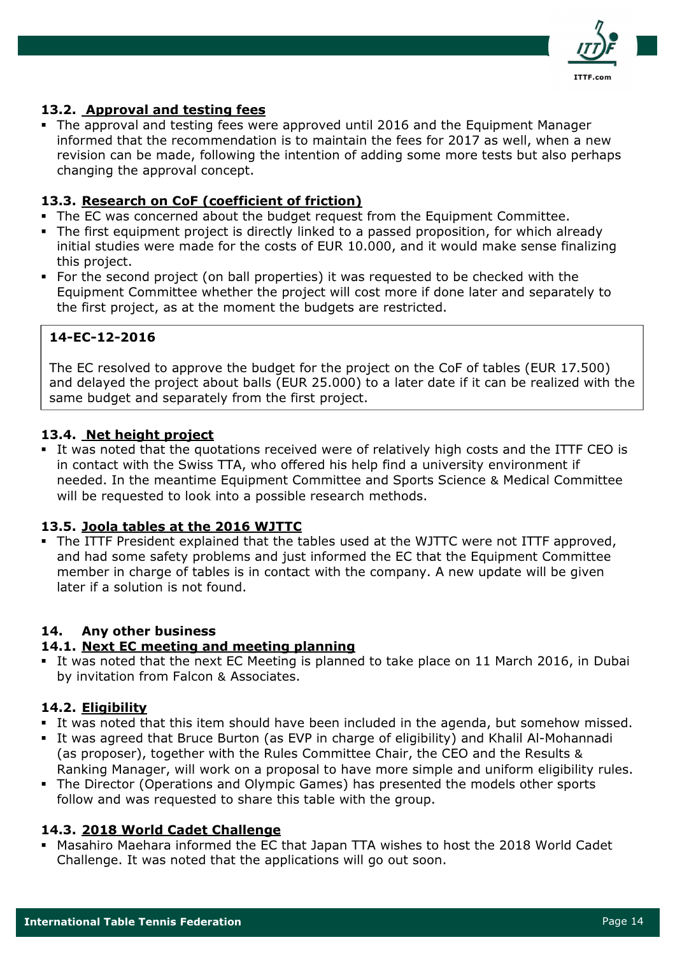

## 13.2. Approval and testing fees

 The approval and testing fees were approved until 2016 and the Equipment Manager informed that the recommendation is to maintain the fees for 2017 as well, when a new revision can be made, following the intention of adding some more tests but also perhaps changing the approval concept.

## 13.3. Research on CoF (coefficient of friction)

- The EC was concerned about the budget request from the Equipment Committee.
- The first equipment project is directly linked to a passed proposition, for which already initial studies were made for the costs of EUR 10.000, and it would make sense finalizing this project.
- For the second project (on ball properties) it was requested to be checked with the Equipment Committee whether the project will cost more if done later and separately to the first project, as at the moment the budgets are restricted.

## 14-EC-12-2016

The EC resolved to approve the budget for the project on the CoF of tables (EUR 17.500) and delayed the project about balls (EUR 25.000) to a later date if it can be realized with the same budget and separately from the first project.

## 13.4. Net height project

 It was noted that the quotations received were of relatively high costs and the ITTF CEO is in contact with the Swiss TTA, who offered his help find a university environment if needed. In the meantime Equipment Committee and Sports Science & Medical Committee will be requested to look into a possible research methods.

## 13.5. Joola tables at the 2016 WJTTC

 The ITTF President explained that the tables used at the WJTTC were not ITTF approved, and had some safety problems and just informed the EC that the Equipment Committee member in charge of tables is in contact with the company. A new update will be given later if a solution is not found.

## 14. Any other business

### 14.1. Next EC meeting and meeting planning

 It was noted that the next EC Meeting is planned to take place on 11 March 2016, in Dubai by invitation from Falcon & Associates.

### 14.2. Eligibility

- It was noted that this item should have been included in the agenda, but somehow missed.
- It was agreed that Bruce Burton (as EVP in charge of eligibility) and Khalil Al-Mohannadi (as proposer), together with the Rules Committee Chair, the CEO and the Results & Ranking Manager, will work on a proposal to have more simple and uniform eligibility rules.
- The Director (Operations and Olympic Games) has presented the models other sports follow and was requested to share this table with the group.

### 14.3. 2018 World Cadet Challenge

 Masahiro Maehara informed the EC that Japan TTA wishes to host the 2018 World Cadet Challenge. It was noted that the applications will go out soon.